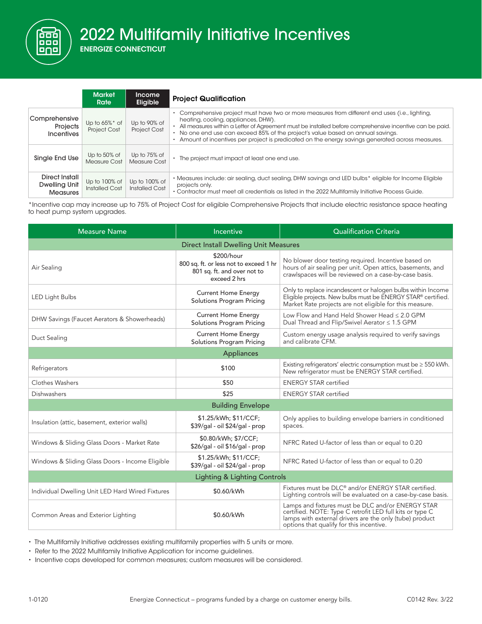2022 Multifamily Initiative Incentives

000 000  $\Box \Box$ 

|                                                    | <b>Market</b><br>Rate                    | <b>Income</b><br><b>Eligible</b>       | <b>Project Qualification</b>                                                                                                                                                                                                                                                                                                                                                                                                                       |
|----------------------------------------------------|------------------------------------------|----------------------------------------|----------------------------------------------------------------------------------------------------------------------------------------------------------------------------------------------------------------------------------------------------------------------------------------------------------------------------------------------------------------------------------------------------------------------------------------------------|
| Comprehensive<br>Projects<br><b>Incentives</b>     | Up to $65\%$ * of<br><b>Project Cost</b> | Up to 90% of<br><b>Project Cost</b>    | Comprehensive project must have two or more measures from different end uses (i.e., lighting,<br>heating, cooling, appliances, DHW).<br>All measures within a Letter of Agreement must be installed before comprehensive incentive can be paid.<br>• No one end use can exceed 85% of the project's value based on annual savings.<br>Amount of incentives per project is predicated on the energy savings generated across measures.<br>$\bullet$ |
| Single End Use                                     | Up to 50% of<br>Measure Cost             | Up to 75% of<br>Measure Cost           | • The project must impact at least one end use.                                                                                                                                                                                                                                                                                                                                                                                                    |
| Direct Install<br>Dwelling Unit<br><b>Measures</b> | Up to 100% of<br>Installed Cost          | Up to 100% of<br><b>Installed Cost</b> | • Measures include: air sealing, duct sealing, DHW savings and LED bulbs* eligible for Income Eligible<br>projects only.<br>• Contractor must meet all credentials as listed in the 2022 Multifamily Initiative Process Guide.                                                                                                                                                                                                                     |

\*Incentive cap may increase up to 75% of Project Cost for eligible Comprehensive Projects that include electric resistance space heating to heat pump system upgrades.

| <b>Measure Name</b>                              | Incentive                                                                                           | <b>Qualification Criteria</b>                                                                                                                                                                                        |  |  |  |  |  |
|--------------------------------------------------|-----------------------------------------------------------------------------------------------------|----------------------------------------------------------------------------------------------------------------------------------------------------------------------------------------------------------------------|--|--|--|--|--|
| <b>Direct Install Dwelling Unit Measures</b>     |                                                                                                     |                                                                                                                                                                                                                      |  |  |  |  |  |
| Air Sealing                                      | \$200/hour<br>800 sq. ft. or less not to exceed 1 hr<br>801 sq. ft. and over not to<br>exceed 2 hrs | No blower door testing required. Incentive based on<br>hours of air sealing per unit. Open attics, basements, and<br>crawlspaces will be reviewed on a case-by-case basis.                                           |  |  |  |  |  |
| <b>LED Light Bulbs</b>                           | <b>Current Home Energy</b><br>Solutions Program Pricing                                             | Only to replace incandescent or halogen bulbs within Income<br>Eligible projects. New bulbs must be ENERGY STAR® certified.<br>Market Rate projects are not eligible for this measure.                               |  |  |  |  |  |
| DHW Savings (Faucet Aerators & Showerheads)      | <b>Current Home Energy</b><br><b>Solutions Program Pricing</b>                                      | Low Flow and Hand Held Shower Head ≤ 2.0 GPM<br>Dual Thread and Flip/Swivel Aerator ≤ 1.5 GPM                                                                                                                        |  |  |  |  |  |
| Duct Sealing                                     | <b>Current Home Energy</b><br>Solutions Program Pricing                                             | Custom energy usage analysis required to verify savings<br>and calibrate CFM.                                                                                                                                        |  |  |  |  |  |
| Appliances                                       |                                                                                                     |                                                                                                                                                                                                                      |  |  |  |  |  |
| Refrigerators                                    | \$100                                                                                               | Existing refrigerators' electric consumption must be $\geq$ 550 kWh.<br>New refrigerator must be ENERGY STAR certified.                                                                                              |  |  |  |  |  |
| Clothes Washers                                  | \$50                                                                                                | <b>ENERGY STAR certified</b>                                                                                                                                                                                         |  |  |  |  |  |
| Dishwashers                                      | \$25                                                                                                | <b>ENERGY STAR certified</b>                                                                                                                                                                                         |  |  |  |  |  |
| <b>Building Envelope</b>                         |                                                                                                     |                                                                                                                                                                                                                      |  |  |  |  |  |
| Insulation (attic, basement, exterior walls)     | \$1.25/kWh; \$11/CCF;<br>\$39/gal - oil \$24/gal - prop                                             | Only applies to building envelope barriers in conditioned<br>spaces.                                                                                                                                                 |  |  |  |  |  |
| Windows & Sliding Glass Doors - Market Rate      | \$0.80/kWh; \$7/CCF;<br>\$26/gal - oil \$16/gal - prop                                              | NFRC Rated U-factor of less than or equal to 0.20                                                                                                                                                                    |  |  |  |  |  |
| Windows & Sliding Glass Doors - Income Eligible  | \$1.25/kWh; \$11/CCF;<br>\$39/gal - oil \$24/gal - prop                                             | NFRC Rated U-factor of less than or equal to 0.20                                                                                                                                                                    |  |  |  |  |  |
| <b>Lighting &amp; Lighting Controls</b>          |                                                                                                     |                                                                                                                                                                                                                      |  |  |  |  |  |
| Individual Dwelling Unit LED Hard Wired Fixtures | \$0.60/kWh                                                                                          | Fixtures must be DLC <sup>®</sup> and/or ENERGY STAR certified.<br>Lighting controls will be evaluated on a case-by-case basis.                                                                                      |  |  |  |  |  |
| Common Areas and Exterior Lighting               | \$0.60/kWh                                                                                          | Lamps and fixtures must be DLC and/or ENERGY STAR<br>certified. NOTE: Type C retrofit LED full kits or type C<br>lamps with external drivers are the only (tube) product<br>options that qualify for this incentive. |  |  |  |  |  |

• The Multifamily Initiative addresses existing multifamily properties with 5 units or more.

• Refer to the 2022 Multifamily Initiative Application for income guidelines.

• Incentive caps developed for common measures; custom measures will be considered.